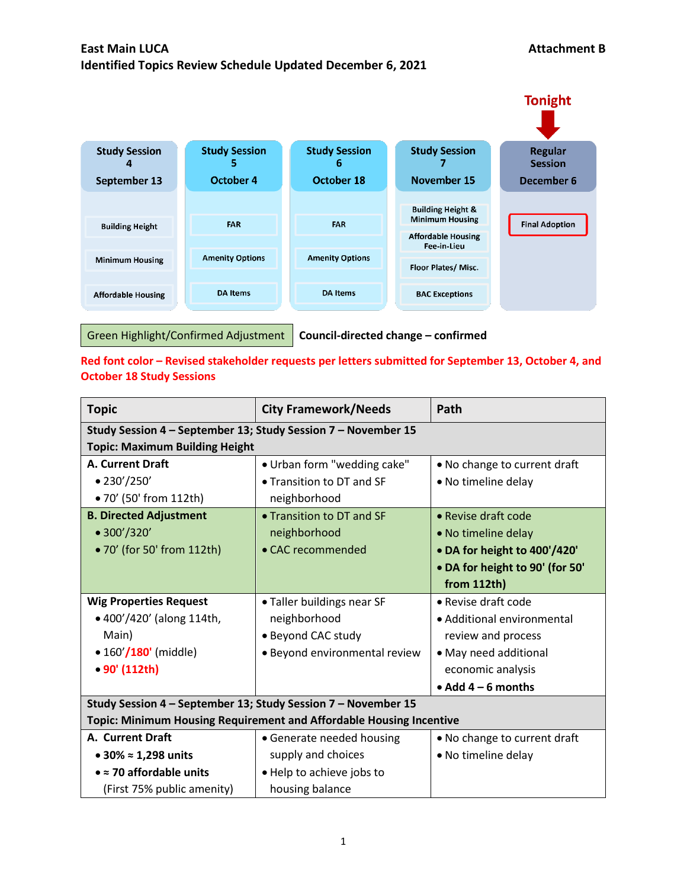

**Red font color – Revised stakeholder requests per letters submitted for September 13, October 4, and October 18 Study Sessions**

| <b>Topic</b>                                                        | <b>City Framework/Needs</b>   | Path                            |
|---------------------------------------------------------------------|-------------------------------|---------------------------------|
| Study Session 4 - September 13; Study Session 7 - November 15       |                               |                                 |
| <b>Topic: Maximum Building Height</b>                               |                               |                                 |
| <b>A. Current Draft</b>                                             | • Urban form "wedding cake"   | • No change to current draft    |
| • 230'/250'                                                         | • Transition to DT and SF     | • No timeline delay             |
| • 70' (50' from 112th)                                              | neighborhood                  |                                 |
| <b>B. Directed Adjustment</b>                                       | • Transition to DT and SF     | • Revise draft code             |
| • 300'/320'                                                         | neighborhood                  | • No timeline delay             |
| • 70' (for 50' from 112th)                                          | • CAC recommended             | • DA for height to 400'/420'    |
|                                                                     |                               | • DA for height to 90' (for 50' |
|                                                                     |                               | from 112th                      |
| <b>Wig Properties Request</b>                                       | · Taller buildings near SF    | • Revise draft code             |
| • 400'/420' (along 114th,                                           | neighborhood                  | • Additional environmental      |
| Main)                                                               | · Beyond CAC study            | review and process              |
| $\bullet$ 160 $^{\prime}/$ 180 $^{\prime}$ (middle)                 | • Beyond environmental review | • May need additional           |
| • 90' (112th)                                                       |                               | economic analysis               |
|                                                                     |                               | $\bullet$ Add 4 – 6 months      |
| Study Session 4 - September 13; Study Session 7 - November 15       |                               |                                 |
| Topic: Minimum Housing Requirement and Affordable Housing Incentive |                               |                                 |
| <b>A. Current Draft</b>                                             | • Generate needed housing     | . No change to current draft    |
| • 30% $\approx$ 1,298 units                                         | supply and choices            | • No timeline delay             |
| $\bullet$ = 70 affordable units                                     | • Help to achieve jobs to     |                                 |
| (First 75% public amenity)                                          | housing balance               |                                 |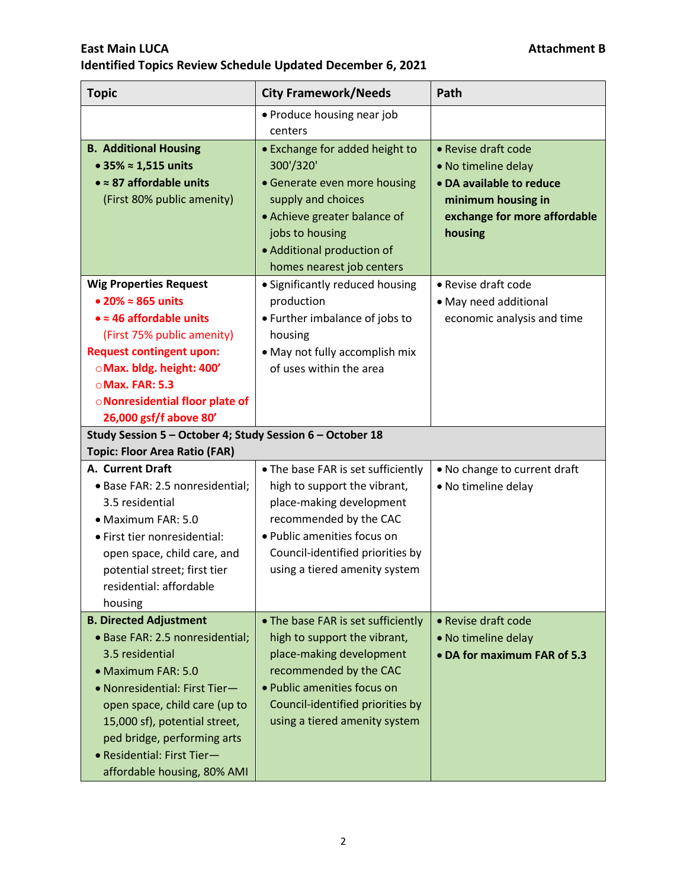| <b>Topic</b>                                                                                                                                                                                                                                                                                             | <b>City Framework/Needs</b>                                                                                                                                                                                                  | Path                                                                                                                                    |
|----------------------------------------------------------------------------------------------------------------------------------------------------------------------------------------------------------------------------------------------------------------------------------------------------------|------------------------------------------------------------------------------------------------------------------------------------------------------------------------------------------------------------------------------|-----------------------------------------------------------------------------------------------------------------------------------------|
|                                                                                                                                                                                                                                                                                                          | • Produce housing near job<br>centers                                                                                                                                                                                        |                                                                                                                                         |
| <b>B. Additional Housing</b><br>• 35% $\approx$ 1,515 units<br>$\bullet \approx 87$ affordable units<br>(First 80% public amenity)                                                                                                                                                                       | • Exchange for added height to<br>300'/320'<br>• Generate even more housing<br>supply and choices<br>• Achieve greater balance of<br>jobs to housing<br>• Additional production of<br>homes nearest job centers              | • Revise draft code<br>• No timeline delay<br>• DA available to reduce<br>minimum housing in<br>exchange for more affordable<br>housing |
| <b>Wig Properties Request</b><br>$\bullet$ 20% $\approx$ 865 units<br>$\bullet \approx 46$ affordable units<br>(First 75% public amenity)<br><b>Request contingent upon:</b><br>OMax. bldg. height: 400'<br>○ Max. FAR: 5.3<br><b>ONonresidential floor plate of</b><br>26,000 gsf/f above 80'           | • Significantly reduced housing<br>production<br>• Further imbalance of jobs to<br>housing<br>• May not fully accomplish mix<br>of uses within the area                                                                      | • Revise draft code<br>• May need additional<br>economic analysis and time                                                              |
| Study Session 5 - October 4; Study Session 6 - October 18<br><b>Topic: Floor Area Ratio (FAR)</b>                                                                                                                                                                                                        |                                                                                                                                                                                                                              |                                                                                                                                         |
| A. Current Draft<br>• Base FAR: 2.5 nonresidential;<br>3.5 residential<br>• Maximum FAR: 5.0<br>· First tier nonresidential:<br>open space, child care, and<br>potential street; first tier<br>residential: affordable<br>housing                                                                        | • The base FAR is set sufficiently<br>high to support the vibrant,<br>place-making development<br>recommended by the CAC<br>· Public amenities focus on<br>Council-identified priorities by<br>using a tiered amenity system | . No change to current draft<br>• No timeline delay                                                                                     |
| <b>B. Directed Adjustment</b><br>• Base FAR: 2.5 nonresidential;<br>3.5 residential<br>• Maximum FAR: 5.0<br>• Nonresidential: First Tier-<br>open space, child care (up to<br>15,000 sf), potential street,<br>ped bridge, performing arts<br>· Residential: First Tier-<br>affordable housing, 80% AMI | • The base FAR is set sufficiently<br>high to support the vibrant,<br>place-making development<br>recommended by the CAC<br>· Public amenities focus on<br>Council-identified priorities by<br>using a tiered amenity system | • Revise draft code<br>• No timeline delay<br>• DA for maximum FAR of 5.3                                                               |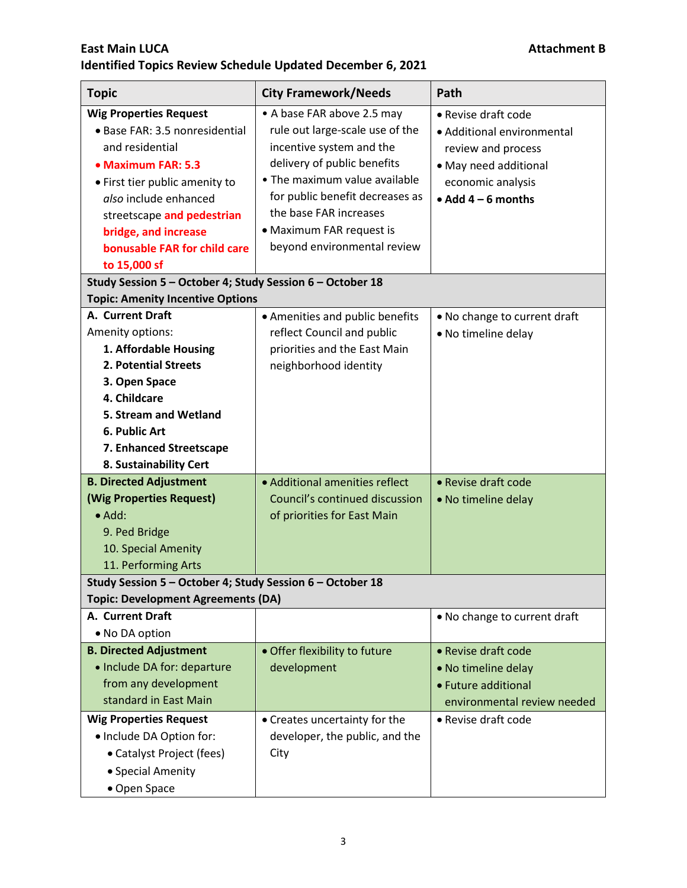| <b>Topic</b>                                              | <b>City Framework/Needs</b>     | Path                         |
|-----------------------------------------------------------|---------------------------------|------------------------------|
| <b>Wig Properties Request</b>                             | • A base FAR above 2.5 may      | • Revise draft code          |
| · Base FAR: 3.5 nonresidential                            | rule out large-scale use of the | • Additional environmental   |
| and residential                                           | incentive system and the        | review and process           |
| • Maximum FAR: 5.3                                        | delivery of public benefits     | • May need additional        |
| • First tier public amenity to                            | • The maximum value available   | economic analysis            |
| also include enhanced                                     | for public benefit decreases as | • Add $4-6$ months           |
| streetscape and pedestrian                                | the base FAR increases          |                              |
| bridge, and increase                                      | • Maximum FAR request is        |                              |
| bonusable FAR for child care                              | beyond environmental review     |                              |
| to 15,000 sf                                              |                                 |                              |
| Study Session 5 - October 4; Study Session 6 - October 18 |                                 |                              |
| <b>Topic: Amenity Incentive Options</b>                   |                                 |                              |
| A. Current Draft                                          | • Amenities and public benefits | • No change to current draft |
| Amenity options:                                          | reflect Council and public      | • No timeline delay          |
| 1. Affordable Housing                                     | priorities and the East Main    |                              |
| 2. Potential Streets                                      | neighborhood identity           |                              |
| 3. Open Space                                             |                                 |                              |
| 4. Childcare                                              |                                 |                              |
| 5. Stream and Wetland                                     |                                 |                              |
| 6. Public Art                                             |                                 |                              |
| 7. Enhanced Streetscape                                   |                                 |                              |
| 8. Sustainability Cert                                    |                                 |                              |
| <b>B. Directed Adjustment</b>                             | • Additional amenities reflect  | • Revise draft code          |
| (Wig Properties Request)                                  | Council's continued discussion  | • No timeline delay          |
| $\bullet$ Add:                                            | of priorities for East Main     |                              |
| 9. Ped Bridge                                             |                                 |                              |
| 10. Special Amenity                                       |                                 |                              |
| 11. Performing Arts                                       |                                 |                              |
| Study Session 5 - October 4; Study Session 6 - October 18 |                                 |                              |
| <b>Topic: Development Agreements (DA)</b>                 |                                 |                              |
| A. Current Draft                                          |                                 | . No change to current draft |
| • No DA option                                            |                                 |                              |
| <b>B. Directed Adjustment</b>                             | · Offer flexibility to future   | • Revise draft code          |
| • Include DA for: departure                               | development                     | • No timeline delay          |
| from any development                                      |                                 | • Future additional          |
| standard in East Main                                     |                                 | environmental review needed  |
| <b>Wig Properties Request</b>                             | • Creates uncertainty for the   | • Revise draft code          |
| · Include DA Option for:                                  | developer, the public, and the  |                              |
| • Catalyst Project (fees)                                 | City                            |                              |
| • Special Amenity                                         |                                 |                              |
| • Open Space                                              |                                 |                              |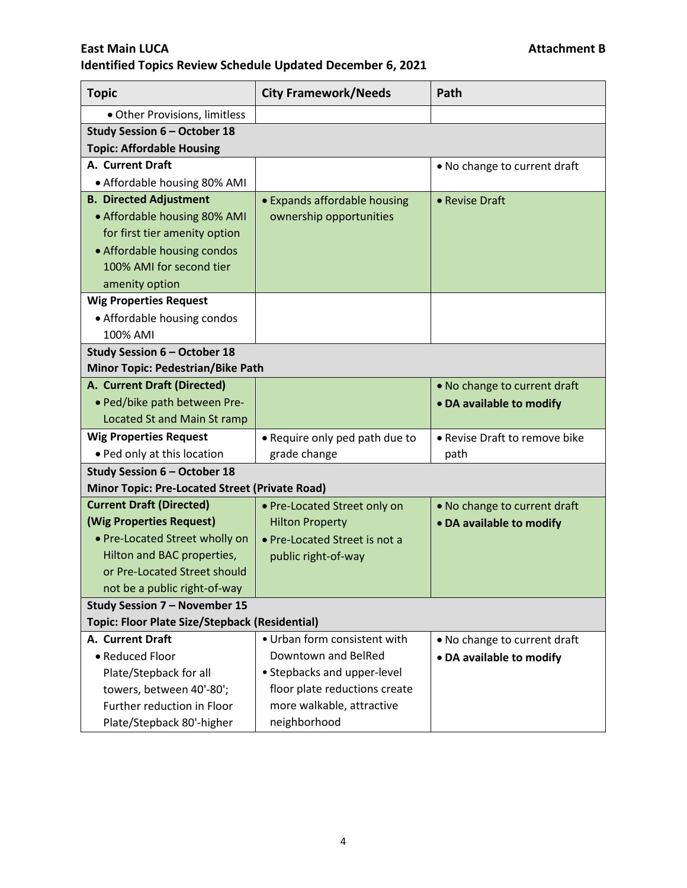| <b>Topic</b>                                          | <b>City Framework/Needs</b>    | Path                          |
|-------------------------------------------------------|--------------------------------|-------------------------------|
| · Other Provisions, limitless                         |                                |                               |
| Study Session 6 - October 18                          |                                |                               |
| <b>Topic: Affordable Housing</b>                      |                                |                               |
| A. Current Draft                                      |                                | • No change to current draft  |
| • Affordable housing 80% AMI                          |                                |                               |
| <b>B. Directed Adjustment</b>                         | • Expands affordable housing   | • Revise Draft                |
| • Affordable housing 80% AMI                          | ownership opportunities        |                               |
| for first tier amenity option                         |                                |                               |
| • Affordable housing condos                           |                                |                               |
| 100% AMI for second tier                              |                                |                               |
| amenity option                                        |                                |                               |
| <b>Wig Properties Request</b>                         |                                |                               |
| • Affordable housing condos                           |                                |                               |
| 100% AMI                                              |                                |                               |
| Study Session 6 - October 18                          |                                |                               |
| <b>Minor Topic: Pedestrian/Bike Path</b>              |                                |                               |
| A. Current Draft (Directed)                           |                                | • No change to current draft  |
| · Ped/bike path between Pre-                          |                                | • DA available to modify      |
| Located St and Main St ramp                           |                                |                               |
| <b>Wig Properties Request</b>                         | • Require only ped path due to | • Revise Draft to remove bike |
| • Ped only at this location                           | grade change                   | path                          |
| Study Session 6 - October 18                          |                                |                               |
| <b>Minor Topic: Pre-Located Street (Private Road)</b> |                                |                               |
| <b>Current Draft (Directed)</b>                       | • Pre-Located Street only on   | . No change to current draft  |
| (Wig Properties Request)                              | <b>Hilton Property</b>         | • DA available to modify      |
| • Pre-Located Street wholly on                        | • Pre-Located Street is not a  |                               |
| Hilton and BAC properties,                            | public right-of-way            |                               |
| or Pre-Located Street should                          |                                |                               |
| not be a public right-of-way                          |                                |                               |
| Study Session 7 - November 15                         |                                |                               |
| <b>Topic: Floor Plate Size/Stepback (Residential)</b> |                                |                               |
| A. Current Draft                                      | • Urban form consistent with   | • No change to current draft  |
| • Reduced Floor                                       | Downtown and BelRed            | • DA available to modify      |
| Plate/Stepback for all                                | • Stepbacks and upper-level    |                               |
| towers, between 40'-80';                              | floor plate reductions create  |                               |
| Further reduction in Floor                            | more walkable, attractive      |                               |
| Plate/Stepback 80'-higher                             | neighborhood                   |                               |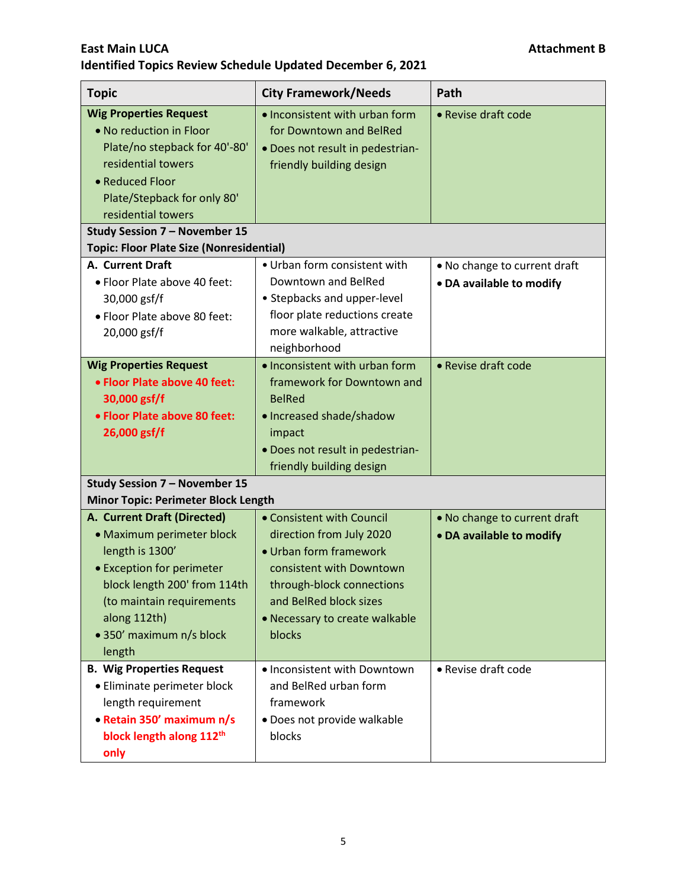| <b>Topic</b>                                    | <b>City Framework/Needs</b>      | Path                         |
|-------------------------------------------------|----------------------------------|------------------------------|
| <b>Wig Properties Request</b>                   | . Inconsistent with urban form   | • Revise draft code          |
| • No reduction in Floor                         | for Downtown and BelRed          |                              |
| Plate/no stepback for 40'-80'                   | . Does not result in pedestrian- |                              |
| residential towers                              | friendly building design         |                              |
| • Reduced Floor                                 |                                  |                              |
| Plate/Stepback for only 80'                     |                                  |                              |
| residential towers                              |                                  |                              |
| Study Session 7 - November 15                   |                                  |                              |
| <b>Topic: Floor Plate Size (Nonresidential)</b> |                                  |                              |
| A. Current Draft                                | • Urban form consistent with     | • No change to current draft |
| • Floor Plate above 40 feet:                    | Downtown and BelRed              | • DA available to modify     |
| 30,000 gsf/f                                    | • Stepbacks and upper-level      |                              |
| • Floor Plate above 80 feet:                    | floor plate reductions create    |                              |
| 20,000 gsf/f                                    | more walkable, attractive        |                              |
|                                                 | neighborhood                     |                              |
| <b>Wig Properties Request</b>                   | • Inconsistent with urban form   | • Revise draft code          |
| • Floor Plate above 40 feet:                    | framework for Downtown and       |                              |
| 30,000 gsf/f                                    | <b>BelRed</b>                    |                              |
| • Floor Plate above 80 feet:                    | • Increased shade/shadow         |                              |
| 26,000 gsf/f                                    | impact                           |                              |
|                                                 | · Does not result in pedestrian- |                              |
|                                                 | friendly building design         |                              |
| <b>Study Session 7 - November 15</b>            |                                  |                              |
| <b>Minor Topic: Perimeter Block Length</b>      |                                  |                              |
| A. Current Draft (Directed)                     | • Consistent with Council        | • No change to current draft |
| • Maximum perimeter block                       | direction from July 2020         | • DA available to modify     |
| length is 1300'                                 | • Urban form framework           |                              |
| • Exception for perimeter                       | consistent with Downtown         |                              |
| block length 200' from 114th                    | through-block connections        |                              |
| (to maintain requirements                       | and BelRed block sizes           |                              |
| along 112th)                                    | • Necessary to create walkable   |                              |
| • 350' maximum n/s block                        | blocks                           |                              |
| length                                          |                                  |                              |
| <b>B. Wig Properties Request</b>                | • Inconsistent with Downtown     | • Revise draft code          |
| • Eliminate perimeter block                     | and BelRed urban form            |                              |
| length requirement                              | framework                        |                              |
| • Retain 350' maximum n/s                       | · Does not provide walkable      |                              |
| block length along 112th                        | blocks                           |                              |
| only                                            |                                  |                              |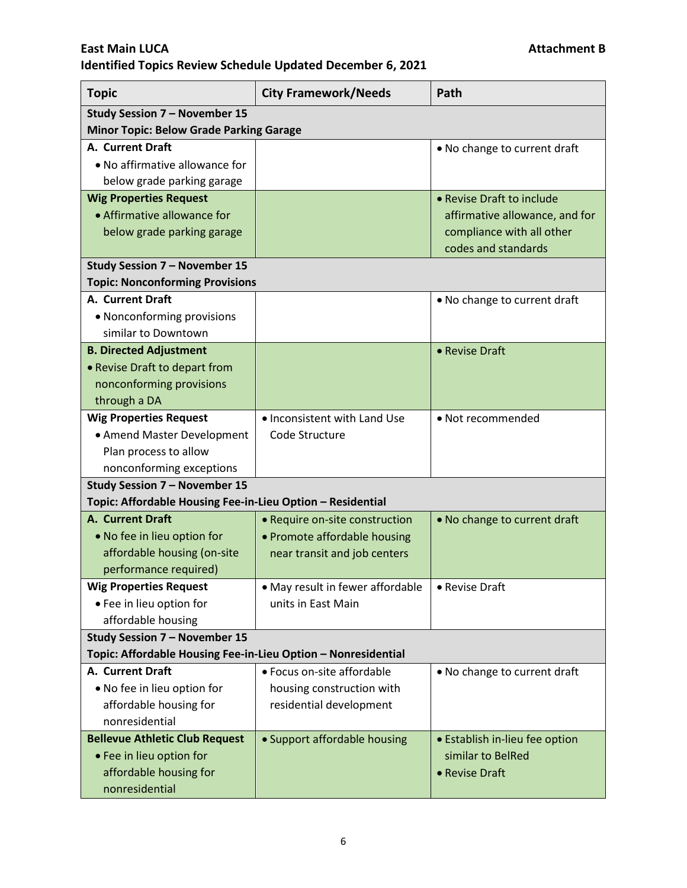| <b>Topic</b>                                                  | <b>City Framework/Needs</b>      | Path                           |
|---------------------------------------------------------------|----------------------------------|--------------------------------|
| Study Session 7 - November 15                                 |                                  |                                |
| <b>Minor Topic: Below Grade Parking Garage</b>                |                                  |                                |
| A. Current Draft                                              |                                  | . No change to current draft   |
| • No affirmative allowance for                                |                                  |                                |
| below grade parking garage                                    |                                  |                                |
| <b>Wig Properties Request</b>                                 |                                  | • Revise Draft to include      |
| • Affirmative allowance for                                   |                                  | affirmative allowance, and for |
| below grade parking garage                                    |                                  | compliance with all other      |
|                                                               |                                  | codes and standards            |
| Study Session 7 - November 15                                 |                                  |                                |
| <b>Topic: Nonconforming Provisions</b>                        |                                  |                                |
| A. Current Draft                                              |                                  | • No change to current draft   |
| • Nonconforming provisions                                    |                                  |                                |
| similar to Downtown                                           |                                  |                                |
| <b>B. Directed Adjustment</b>                                 |                                  | • Revise Draft                 |
| • Revise Draft to depart from                                 |                                  |                                |
| nonconforming provisions                                      |                                  |                                |
| through a DA                                                  |                                  |                                |
| <b>Wig Properties Request</b>                                 | • Inconsistent with Land Use     | • Not recommended              |
| • Amend Master Development                                    | Code Structure                   |                                |
| Plan process to allow                                         |                                  |                                |
| nonconforming exceptions                                      |                                  |                                |
| <b>Study Session 7 - November 15</b>                          |                                  |                                |
| Topic: Affordable Housing Fee-in-Lieu Option - Residential    |                                  |                                |
| <b>A. Current Draft</b>                                       | • Require on-site construction   | • No change to current draft   |
| • No fee in lieu option for                                   | • Promote affordable housing     |                                |
| affordable housing (on-site                                   | near transit and job centers     |                                |
| performance required)                                         |                                  |                                |
| <b>Wig Properties Request</b>                                 | • May result in fewer affordable | • Revise Draft                 |
| • Fee in lieu option for                                      | units in East Main               |                                |
| affordable housing                                            |                                  |                                |
| Study Session 7 - November 15                                 |                                  |                                |
| Topic: Affordable Housing Fee-in-Lieu Option - Nonresidential |                                  |                                |
| A. Current Draft                                              | • Focus on-site affordable       | • No change to current draft   |
| . No fee in lieu option for                                   | housing construction with        |                                |
| affordable housing for                                        | residential development          |                                |
| nonresidential                                                |                                  |                                |
| <b>Bellevue Athletic Club Request</b>                         | • Support affordable housing     | • Establish in-lieu fee option |
| • Fee in lieu option for                                      |                                  | similar to BelRed              |
| affordable housing for                                        |                                  | • Revise Draft                 |
| nonresidential                                                |                                  |                                |